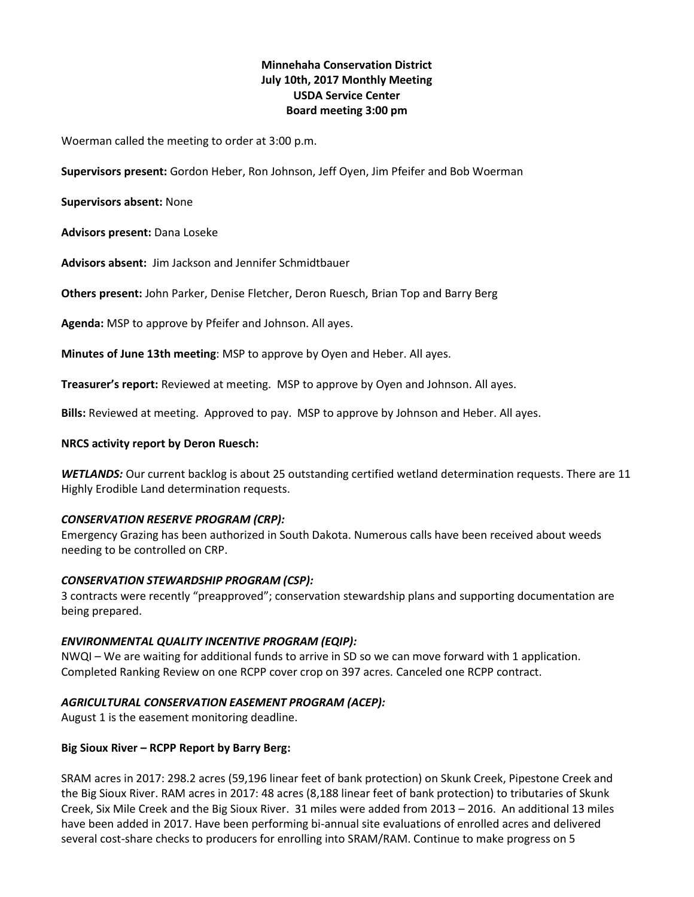# **Minnehaha Conservation District July 10th, 2017 Monthly Meeting USDA Service Center Board meeting 3:00 pm**

Woerman called the meeting to order at 3:00 p.m.

**Supervisors present:** Gordon Heber, Ron Johnson, Jeff Oyen, Jim Pfeifer and Bob Woerman

**Supervisors absent:** None

**Advisors present:** Dana Loseke

**Advisors absent:** Jim Jackson and Jennifer Schmidtbauer

**Others present:** John Parker, Denise Fletcher, Deron Ruesch, Brian Top and Barry Berg

**Agenda:** MSP to approve by Pfeifer and Johnson. All ayes.

**Minutes of June 13th meeting**: MSP to approve by Oyen and Heber. All ayes.

**Treasurer's report:** Reviewed at meeting. MSP to approve by Oyen and Johnson. All ayes.

**Bills:** Reviewed at meeting. Approved to pay. MSP to approve by Johnson and Heber. All ayes.

#### **NRCS activity report by Deron Ruesch:**

*WETLANDS:* Our current backlog is about 25 outstanding certified wetland determination requests. There are 11 Highly Erodible Land determination requests.

#### *CONSERVATION RESERVE PROGRAM (CRP):*

Emergency Grazing has been authorized in South Dakota. Numerous calls have been received about weeds needing to be controlled on CRP.

#### *CONSERVATION STEWARDSHIP PROGRAM (CSP):*

3 contracts were recently "preapproved"; conservation stewardship plans and supporting documentation are being prepared.

## *ENVIRONMENTAL QUALITY INCENTIVE PROGRAM (EQIP):*

NWQI – We are waiting for additional funds to arrive in SD so we can move forward with 1 application. Completed Ranking Review on one RCPP cover crop on 397 acres. Canceled one RCPP contract.

## *AGRICULTURAL CONSERVATION EASEMENT PROGRAM (ACEP):*

August 1 is the easement monitoring deadline.

#### **Big Sioux River – RCPP Report by Barry Berg:**

SRAM acres in 2017: 298.2 acres (59,196 linear feet of bank protection) on Skunk Creek, Pipestone Creek and the Big Sioux River. RAM acres in 2017: 48 acres (8,188 linear feet of bank protection) to tributaries of Skunk Creek, Six Mile Creek and the Big Sioux River. 31 miles were added from 2013 – 2016. An additional 13 miles have been added in 2017. Have been performing bi-annual site evaluations of enrolled acres and delivered several cost-share checks to producers for enrolling into SRAM/RAM. Continue to make progress on 5